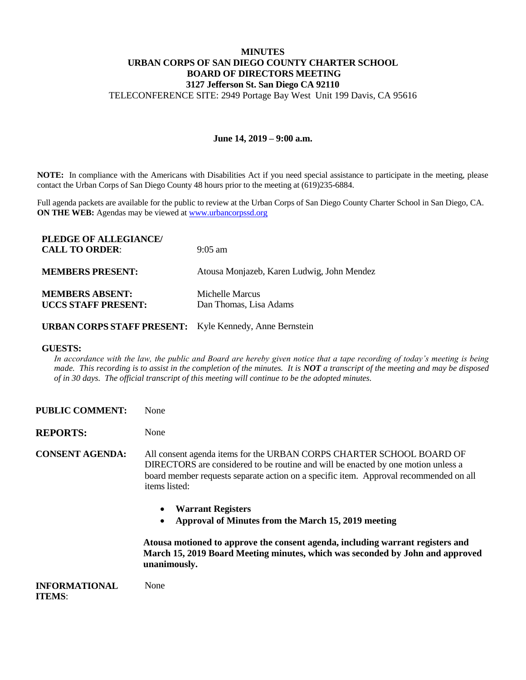## **MINUTES URBAN CORPS OF SAN DIEGO COUNTY CHARTER SCHOOL BOARD OF DIRECTORS MEETING 3127 Jefferson St. San Diego CA 92110**

TELECONFERENCE SITE: 2949 Portage Bay West Unit 199 Davis, CA 95616

## **June 14, 2019 – 9:00 a.m.**

**NOTE:** In compliance with the Americans with Disabilities Act if you need special assistance to participate in the meeting, please contact the Urban Corps of San Diego County 48 hours prior to the meeting at (619)235-6884.

Full agenda packets are available for the public to review at the Urban Corps of San Diego County Charter School in San Diego, CA. **ON THE WEB:** Agendas may be viewed at [www.urbancorpssd.org](http://www.urbancorpssd.org/)

| PLEDGE OF ALLEGIANCE/      |                                            |
|----------------------------|--------------------------------------------|
| <b>CALL TO ORDER:</b>      | $9:05 \text{ am}$                          |
|                            |                                            |
| <b>MEMBERS PRESENT:</b>    | Atousa Monjazeb, Karen Ludwig, John Mendez |
|                            |                                            |
| <b>MEMBERS ABSENT:</b>     | Michelle Marcus                            |
| <b>UCCS STAFF PRESENT:</b> | Dan Thomas, Lisa Adams                     |
|                            |                                            |

**URBAN CORPS STAFF PRESENT:** Kyle Kennedy, Anne Bernstein

## **GUESTS:**

In accordance with the law, the public and Board are hereby given notice that a tape recording of today's meeting is being *made. This recording is to assist in the completion of the minutes. It is NOT a transcript of the meeting and may be disposed of in 30 days. The official transcript of this meeting will continue to be the adopted minutes.*

**PUBLIC COMMENT:** None

**REPORTS:** None

**CONSENT AGENDA:** All consent agenda items for the URBAN CORPS CHARTER SCHOOL BOARD OF DIRECTORS are considered to be routine and will be enacted by one motion unless a board member requests separate action on a specific item. Approval recommended on all items listed:

- **Warrant Registers**
- **Approval of Minutes from the March 15, 2019 meeting**

**Atousa motioned to approve the consent agenda, including warrant registers and March 15, 2019 Board Meeting minutes, which was seconded by John and approved unanimously.** 

**INFORMATIONAL ITEMS**: None